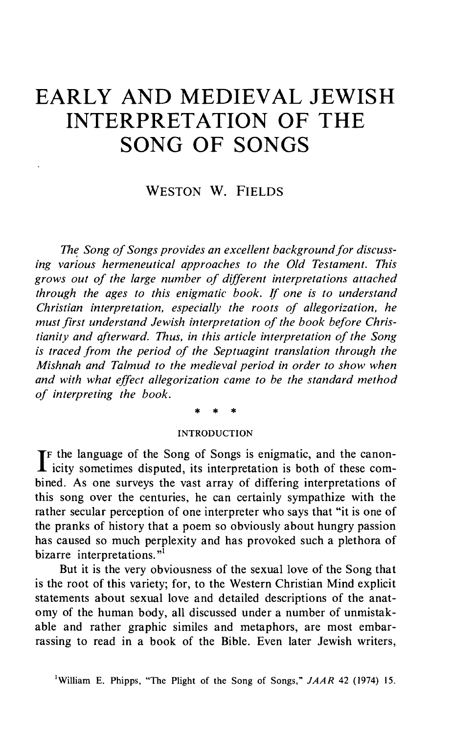# **EARLY AND MEDIEVAL JEWISH INTERPRETATION OF THE SONG OF SONGS**

# WESTON W. FIELDS

*The, Song of Songs provides an excellent background for discussing various hermeneutical approaches to the Old Testament. This grows out of the large number of different interpretations attached through the ages to this enigmatic book.* If *one is to understand Christian interpretation, especially the roots of allegorization, he must first understand Jewish interpretation of the book before Christianity and afterward. Thus, in this article interpretation of the Song is traced from the period of the Septuagint translation through the Mishnah and Talmud to the medieval period in order to show when and with what effect allegorization came to be the standard method of interpreting the book.* 

\* \* \*

#### INTRODUCTION

If the language of the Song of Songs is enigmatic, and the canon-<br>icity sometimes disputed, its interpretation is both of these comicity sometimes disputed, its interpretation is both of these combined. As one surveys the vast array of differing interpretations of this song over the centuries, he can certainly sympathize with the rather secular perception of one interpreter who says that "it is one of the pranks of history that a poem so obviously about hungry passion has caused so much perplexity and has provoked such a plethora of bizarre interpretations."<sup>1</sup>

But it is the very obviousness of the sexual love of the Song that is the root of this variety; for, to the Western Christian Mind explicit statements about sexual love and detailed descriptions of the anatomy of the human body, all discussed under a number of unmistakable and rather graphic similes and metaphors, are most embarrassing to read in a book of the Bible. Even later Jewish writers,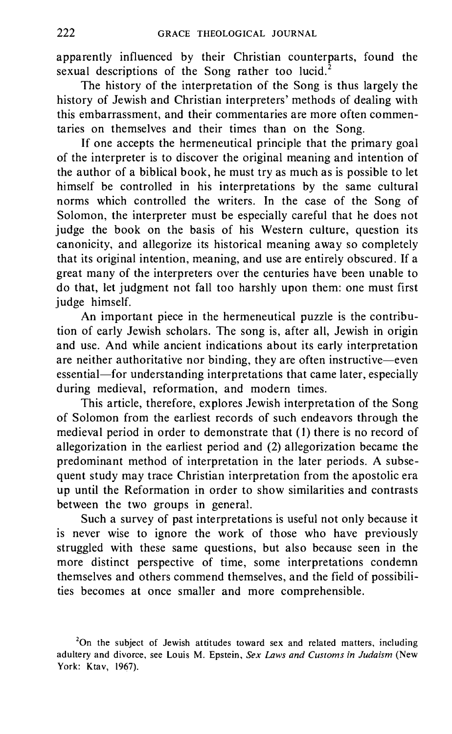apparently influenced by their Christian counterparts, found the sexual descriptions of the Song rather too lucid.<sup>2</sup>

The history of the interpretation of the Song is thus largely the history of Jewish and Christian interpreters' methods of dealing with this embarrassment, and their commentaries are more often commentaries on themselves and their times than on the Song.

If one accepts the hermeneutical principle that the primary goal of the interpreter is to discover the original meaning and intention of the author of a biblical book, he must try as much as is possible to let himself be controlled in his interpretations by the same cultural norms which controlled the writers. In the case of the Song of Solomon, the interpreter must be especially careful that he does not judge the book on the basis of his Western culture, question its canonicity, and allegorize its historical meaning away so completely that its original intention, meaning, and use are entirely obscured. If a great many of the interpreters over the centuries have been unable to do that, let judgment not fall too harshly upon them: one must first judge himself.

An important piece in the hermeneutical puzzle is the contribution of early Jewish scholars. The song is, after all, Jewish in origin and use. And while ancient indications about its early interpretation are neither authoritative nor binding, they are often instructive-even essential-for understanding interpretations that came later, especially during medieval, reformation, and modern times.

This article, therefore, explores Jewish interpretation of the Song of Solomon from the earliest records of such endeavors through the medieval period in order to demonstrate that (I) there is no record of allegorization in the earliest period and (2) allegorization became the predominant method of interpretation in the later periods. A subsequent study may trace Christian interpretation from the apostolic era up until the Reformation in order to show similarities and contrasts between the two groups in general.

Such a survey of past interpretations is useful not only because it is never wise to ignore the work of those who have previously struggled with these same questions, but also because seen in the more distinct perspective of time, some interpretations condemn themselves and others commend themselves, and the field of possibilities becomes at once smaller and more comprehensible.

<sup>&</sup>lt;sup>2</sup>On the subject of Jewish attitudes toward sex and related matters, including adultery and divorce, see Louis M. Epstein, *Sex Laws and Customs in Judaism* (New York: Ktav, 1967).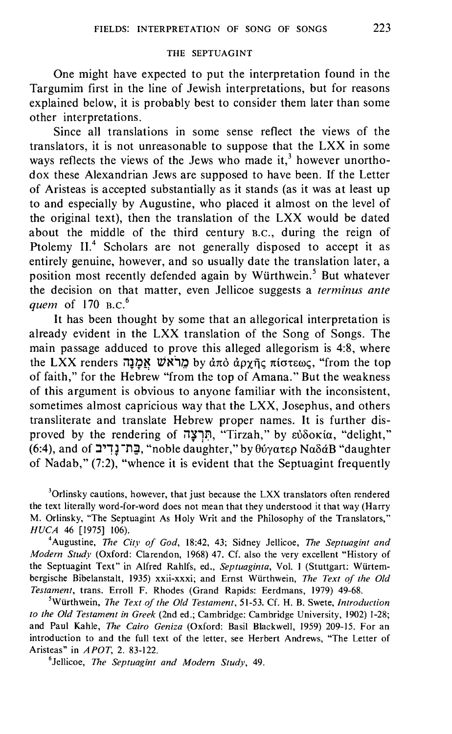## THE SEPTUAGINT

One might have expected to put the interpretation found in the Targumim first in the line of Jewish interpretations, but for reasons explained below, it is probably best to consider them later than some other interpretations.

Since all translations in some sense reflect the views of the translators, it is not unreasonable to suppose that the LXX in some ways reflects the views of the Jews who made it,<sup>3</sup> however unorthodox these Alexandrian Jews are supposed to have been. If the Letter of Aristeas is accepted substantially as it stands (as it was at least up to and especially by Augustine, who placed it almost on the level of the original text), then the translation of the LXX would be dated about the middle of the third century B.c., during the reign of Ptolemy II.<sup>4</sup> Scholars are not generally disposed to accept it as entirely genuine, however, and so usually date the translation later, a position most recently defended again by Würthwein.<sup>5</sup> But whatever the decision on that matter, even Jellicoe suggests a *terminus ante quem* of 170 B.C.<sup>6</sup>

It has been thought by some that an allegorical interpretation is already evident in the LXX translation of the Song of Songs. The main passage adduced to prove this alleged allegorism is 4:8, where the LXX renders *אמ*נה by από αργής πίστεως, "from the top of faith," for the Hebrew "from the top of Amana." But the weakness of this argument is obvious to anyone familiar with the inconsistent, sometimes almost capricious way that the LXX, Josephus, and others transliterate and translate Hebrew proper names. It is further disproved by the rendering of חִרְצָה, "Tirzah," by ευδοκία, "delight," (6:4), and of **:J"!** ~ **-n;l,** "noble daughter," by 8uyatEp Na8ciB "daughter of Nadab," (7:2), "whence it is evident that the Septuagint frequently

<sup>3</sup>Orlinsky cautions, however, that just because the LXX translators often rendered the text literally word-for-word does not mean that they understood it that way (Harry M. Orlinsky, "The Septuagint As Holy Writ and the Philosophy of the Translators," *HUCA* 46 [1975] 106).

Augustine, *The City of God,* 18:42, 43; Sidney Jellicoe, *The Septuagint and Modern Study* (Oxford: Clarendon, 1968) 47. Cf. also the very excellent "History of the Septuagint Text" in Alfred Rahlfs, ed., *Septuaginta,* Vol. I (Stuttgart: Wiirtembergische Bibelanstalt, 1935) xxii-xxxi; and Ernst Wiirthwein, *The Text of the Old Testament,* trans. Erroll F. Rhodes (Grand Rapids: Eerdmans, 1979) 49-68. 5

Wiirthwein, *The Text of the Old Testament,* 51-53. Cf. H. B. Swete, *Introduction to the Old Testament in Greek* (2nd ed.; Cambridge: Cambridge University, 1902) 1-28; and Paul Kahle, *The Cairo Geniza* (Oxford: Basil Blackwell, 1959) 209-15. For an introduction to and the full text of the letter, see Herbert Andrews, "The Letter of Aristeas" in *APOT,* 2. 83-122. 6

Jellicoe, *The Septuagint and Modern Study,* 49.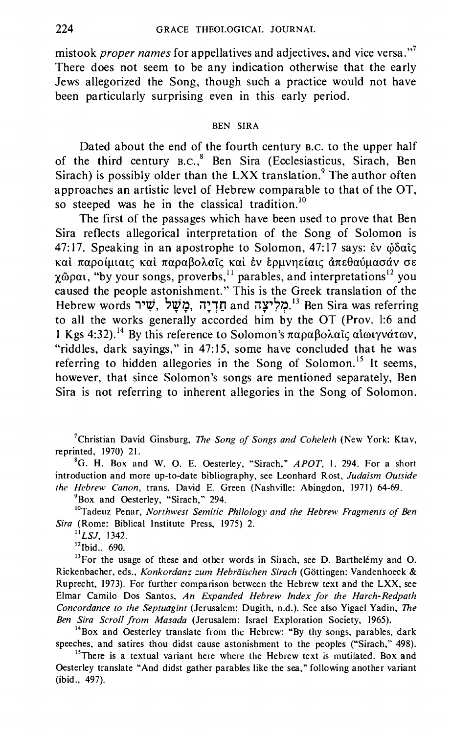mistook *proper names* for appellatives and adjectives, and vice versa."<sup>7</sup> There does not seem to be any indication otherwise that the early Jews allegorized the Song, though such a practice would not have been particularly surprising even in this early period.

#### **BEN SIRA**

Dated about the end of the fourth century B.C. to the upper half of the third century B.C.,<sup>8</sup> Ben Sira (Ecclesiasticus, Sirach, Ben Sirach) is possibly older than the LXX translation.<sup>9</sup> The author often approaches an artistic level of Hebrew comparable to that of the OT, so steeped was he in the classical tradition.<sup>10</sup>

The first of the passages which have been used to prove that Ben Sira reflects allegorical interpretation of the Song of Solomon is 47:17. Speaking in an apostrophe to Solomon, 47:17 says:  $\dot{\epsilon}$ v  $\dot{\omega}$ δαῖς καί παροίμιαις καί παραβολαΐς καί έν έρμνηείαις άπεθαύμασάν σε  $\chi$ @pau, "by your songs, proverbs,<sup>11</sup> parables, and interpretations<sup>12</sup> you caused the people astonishment." This is the Greek translation of the Hebrew words שִׁיר מֻּשָׁל, מֻשָּׁל and תַּדְיָה and הַאֲחָיִי Ben Sira was referring to all the works generally accorded him by the OT (Prov. 1:6 and 1 Kgs 4:32).<sup>14</sup> By this reference to Solomon's παραβολαΐς αιωιγνάτων, "riddles, dark sayings," in 47:15, some have concluded that he was referring to hidden allegories in the Song of Solomon.<sup>15</sup> It seems. however, that since Solomon's songs are mentioned separately, Ben Sira is not referring to inherent allegories in the Song of Solomon.

<sup>7</sup>Christian David Ginsburg, *The Song of Songs and Coheleth* (New York: Ktav, reprinted, 1970) 21.

<sup>8</sup>G. H. Box and W. O. E. Oesterley, "Sirach," APOT, 1. 294. For a short introduction and more up-to-date bibliography, see Leonhard Rost, Judaism Outside the Hebrew Canon, trans. David E. Green (Nashville: Abingdon, 1971) 64-69.

<sup>9</sup>Box and Oesterley, "Sirach," 294.

<sup>10</sup>Tadeuz Penar, Northwest Semitic Philology and the Hebrew Fragments of Ben Sira (Rome: Biblical Institute Press, 1975) 2.

 $11$ *LSJ*, 1342.

<sup>12</sup>Ibid., 690.

<sup>13</sup>For the usage of these and other words in Sirach, see D. Barthelémy and O. Rickenbacher, eds., Konkordanz zum Hebräischen Sirach (Göttingen: Vandenhoeck & Ruprecht, 1973). For further comparison between the Hebrew text and the LXX, see Elmar Camilo Dos Santos, An Expanded Hebrew Index for the Harch-Redpath Concordance to the Septuagint (Jerusalem: Dugith, n.d.). See also Yigael Yadin, The Ben Sira Scroll from Masada (Jerusalem: Israel Exploration Society, 1965).

<sup>14</sup>Box and Oesterley translate from the Hebrew: "By thy songs, parables, dark speeches, and satires thou didst cause astonishment to the peoples ("Sirach," 498).

<sup>15</sup>There is a textual variant here where the Hebrew text is mutilated. Box and Oesterley translate "And didst gather parables like the sea," following another variant (ibid., 497).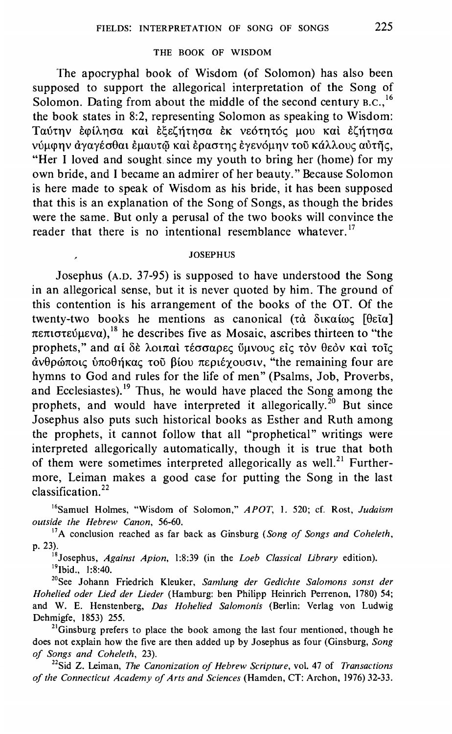### THE BOOK OF WISDOM

The apocryphal book of Wisdom (of Solomon) has also been supposed to support the allegorical interpretation of the Song of Solomon. Dating from about the middle of the second century  $B.C.<sup>16</sup>$ the book states in 8:2, representing Solomon as speaking to Wisdom: Ταύτην έφίλησα και εξεζήτησα έκ νεότητός μου και εζήτησα νύμφην άγαγέσθαι έμαυτώ και έραστης έγενόμην τοῦ κάλλους αὐτῆς, "Her I loved and sought since my youth to bring her (home) for my own bride, and I became an admirer of her beauty." Because Solomon is here made to speak of Wisdom as his bride, it has been supposed that this is an explanation of the Song of Songs, as though the brides were the same. But only a perusal of the two books will convince the reader that there is no intentional resemblance whatever.<sup>17</sup>

#### **JOSEPHUS**

Josephus (A.D. 37-95) is supposed to have understood the Song in an allegorical sense, but it is never quoted by him. The ground of this contention is his arrangement of the books of the OT. Of the twenty-two books he mentions as canonical (τὰ δικαίως [θεῖα] πεπιστεύμενα), <sup>18</sup> he describes five as Mosaic, ascribes thirteen to "the prophets," and αί δε λοιπαί τέσσαρες ύμνους είς τον θεόν και τοίς άνθρώποις υποθήκας τοῦ βίου περιέγουσιν, "the remaining four are hymns to God and rules for the life of men" (Psalms, Job, Proverbs, and Ecclesiastes).<sup>19</sup> Thus, he would have placed the Song among the prophets, and would have interpreted it allegorically.<sup>20</sup> But since Josephus also puts such historical books as Esther and Ruth among the prophets, it cannot follow that all "prophetical" writings were interpreted allegorically automatically, though it is true that both of them were sometimes interpreted allegorically as well.<sup>21</sup> Furthermore, Leiman makes a good case for putting the Song in the last classification.<sup>22</sup>

<sup>16</sup>Samuel Holmes, "Wisdom of Solomon," APOT, 1. 520; cf. Rost, Judaism outside the Hebrew Canon, 56-60.

 $17A$  conclusion reached as far back as Ginsburg (Song of Songs and Coheleth, p. 23).

<sup>18</sup> Josephus, Against Apion, 1:8:39 (in the *Loeb Classical Library* edition).  $^{19}$ Ibid., 1:8:40.

<sup>20</sup>See Johann Friedrich Kleuker, Samlung der Gedichte Salomons sonst der Hohelied oder Lied der Lieder (Hamburg: ben Philipp Heinrich Perrenon, 1780) 54; and W. E. Henstenberg, Das Hohelied Salomonis (Berlin; Verlag von Ludwig Dehmigfe, 1853) 255.

<sup>21</sup>Ginsburg prefers to place the book among the last four mentioned, though he does not explain how the five are then added up by Josephus as four (Ginsburg, Song of Songs and Coheleth, 23).

<sup>22</sup>Sid Z. Leiman, *The Canonization of Hebrew Scripture*, vol. 47 of *Transactions* of the Connecticut Academy of Arts and Sciences (Hamden, CT: Archon, 1976) 32-33.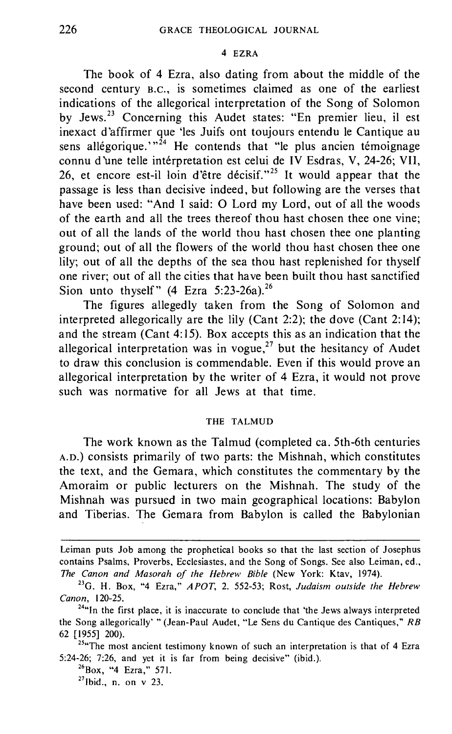#### 4 EZRA

The book of 4 Ezra, also dating from about the middle of the second century B.c., is sometimes claimed as one of the earliest indications of the allegorical interpretation of the Song of Solomon by Jews.<sup>23</sup> Concerning this Audet states: "En premier lieu, il est inexact d'affirmer que 'les Juifs ont toujours entendu le Cantique au sens allégorique.<sup>"24</sup> He contends that "le plus ancien témoignage connu d'une telle intérpretation est celui de IV Esdras, V, 24-26; VII, 26, et encore est-il loin d'être décisif."<sup>25</sup> It would appear that the passage is less than decisive indeed, but following are the verses that have been used: "And I said: 0 Lord my Lord, out of all the woods of the earth and all the trees thereof thou hast chosen thee one vine; out of all the lands of the world thou hast chosen thee one planting ground; out of all the flowers of the world thou hast chosen thee one lily; out of all the depths of the sea thou hast replenished for thyself one river; out of all the cities that have been built thou hast sanctified Sion unto thyself"  $(4 \text{ Ezra } 5:23-26a).^{26}$ 

The figures allegedly taken from the Song of Solomon and interpreted allegorically are the lily (Cant 2:2); the dove (Cant 2:14); and the stream (Cant 4:15). Box accepts this as an indication that the allegorical interpretation was in vogue,<sup>27</sup> but the hesitancy of Audet to draw this conclusion is commendable. Even if this would prove an allegorical interpretation by the writer of 4 Ezra, it would not prove such was normative for all Jews at that time.

#### THE TALMUD

The work known as the Talmud (completed ca. 5th-6th centuries A.D.) consists primarily of two parts: the Mishnah, which constitutes the text, and the Gemara, which constitutes the commentary by the Amoraim or public lecturers on the Mishnah. The study of the Mishnah was pursued in two main geographical locations: Babylon and Tiberias. The Gemara from Babylon is called the Babylonian

Leiman puts Job among the prophetical books so that the last section of Josephus contains Psalms, Proverbs, Ecclesiastes, and the Song of Songs. See also Leiman, ed., *The Canon and Masorah of the Hebrew Bible* (New York: Ktav, 1974). 23G. H. Box, "4 Ezra," *APOT,* 2. 552-53; Rost, *Judaism outside the Hebrew* 

*Canon,* 120-25. 24"In the first place, it is inaccurate to conclude that 'the Jews always interpreted

the Song allegorically' " (Jean-Paul Audet, "Le Sens du Cantique des Cantiques," RB 62 [1955] 200).<br><sup>25</sup>"The most ancient testimony known of such an interpretation is that of 4 Ezra

<sup>5:24-26; 7:26,</sup> and yet it is far from being decisive" (ibid.).<br> $^{26}$ Box, "4 Ezra," 571.<br> $^{27}$ Ibid., n. on v 23.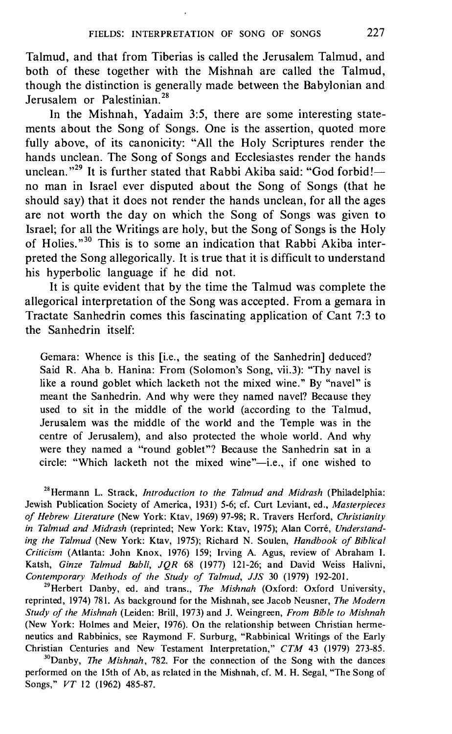Talmud, and that from Tiberias is called the Jerusalem Talmud, and both of these together with the Mishnah are called the Talmud, though the distinction is generally made between the Babylonian and Jerusalem or Palestinian.<sup>28</sup>

In the Mishnah, Yadaim 3:5, there are some interesting statements about the Song of Songs. One is the assertion, quoted more fully above, of its canonicity: "All the Holy Scriptures render the hands unclean. The Song of Songs and Ecclesiastes render the hands unclean."<sup>29</sup> It is further stated that Rabbi Akiba said: "God forbid! no man in Israel ever disputed about the Song of Songs (that he should say) that it does not render the hands unclean, for all the ages are not worth the day on which the Song of Songs was given to Israel; for all the Writings are holy, but the Song of Songs is the Holy of Holies."<sup>30</sup> This is to some an indication that Rabbi Akiba interpreted the Song allegorically. It is true that it is difficult to understand his hyperbolic language if he did not.

It is quite evident that by the time the Talmud was complete the allegorical interpretation of the Song was accepted. From a gemara in Tractate Sanhedrin comes this fascinating application of Cant 7:3 to the Sanhedrin itself:

Gemara: Whence is this [i.e., the seating of the Sanhedrin] deduced? Said R. Aha b. Hanina: From (Solomon's Song, vii.3): "Thy navel is like a round goblet which lacketh not the mixed wine." By "navel" is meant the Sanhedrin. And why were they named navel? Because they used to sit in the middle of the world (according to the Talmud, Jerusalem was the middle of the world and the Temple was in the centre of Jerusalem), and also protected the whole world. And why were they named a "round goblet"? Because the Sanhedrin sat in a circle: "Which lacketh not the mixed wine"-i.e., if one wished to

<sup>28</sup> Hermann L. Strack, *Introduction to the Talmud and Midrash* (Philadelphia: Jewish Publication Society of America, 1931) 5-6; cf. Curt Leviant, ed., *Masterpieces of Hebrew literature* (New York: Ktav, 1969) 97-98; R. Travers Herford, *Christianity*  in Talmud and Midrash (reprinted; New York: Ktav, 1975); Alan Corré, Understand*ing the Talmud* (New York: Ktav, 1975); Richard N. Soulen, *Handbook of Biblical Criticism* (Atlanta: John Knox, 1976) 159; Irving A. Agus, review of Abraham I. Katsh, *Ginze Talmud Babli, JQR* 68 (1977) 121-26; and David Weiss Halivni, *Contemporary Methods of the Study of Talmud, JJS 30 (1979) 192-201.*<br><sup>29</sup>Herbert Danby, ed. and trans., *The Mishnah (Oxford: Oxford University,* 

reprinted, 1974) 781. As background for the Mishnah, see Jacob Neusner, *The Modern Study of the Mishnah* (Leiden: Brill, 1973) and J. Weingreen, *From Bible to Mishnah*  (New York: Holmes and Meier, 1976). On the relationship between Christian hermeneutics and Rabbinics, see Raymond F. Surburg, "Rabbinical Writings of the Early Christian Centuries and New Testament Interpretation," *CTM* 43 (1979) 273-85.<br><sup>30</sup>Danby, *The Mishnah*, 782. For the connection of the Song with the dances

performed on the 15th of Ab, as related in the Mishnah, cf. M. H. Segal, "The Song of Songs," *VT* 12 (1962) 485-87.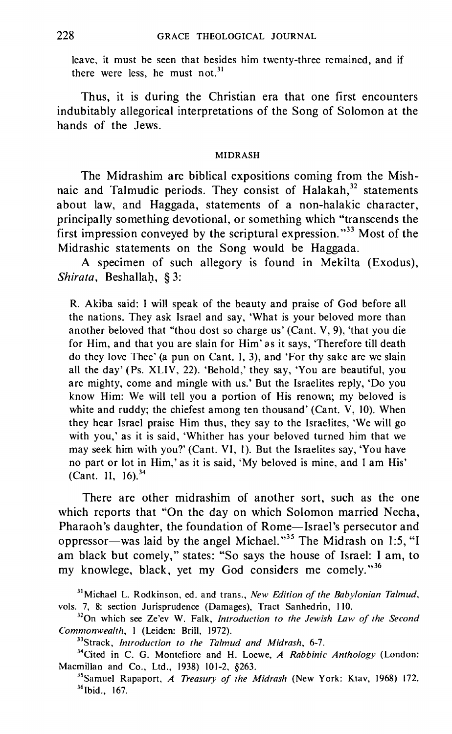leave, it must be seen that besides him twenty-three remained, and if there were less, he must not. $31$ 

Thus, it is during the Christian era that one first encounters indubitably allegorical interpretations of the Song of Solomon at the hands of the Jews.

#### MIDRASH

The Midrashim are biblical expositions coming from the Mishnaic and Talmudic periods. They consist of Halakah, $32$  statements about law, and Haggada, statements of a non-halakic character, principally something devotional, or something which "transcends the first impression conveyed by the scriptural expression."<sup>33</sup> Most of the Midrashic statements on the Song would be Haggada.

A specimen of such allegory is found in Mekilta (Exodus), *Shirata, Beshallah, § 3:* 

R. Akiba said: I will speak of the beauty and praise of God before all the nations. They ask Israel and say, 'What is your beloved more than another beloved that "thou dost so charge us' (Cant. V, 9), 'that you die for Him, and that you are slain for Him' as it says, 'Therefore till death do they love Thee' (a pun on Cant. I, 3), and 'For thy sake are we slain all the day' (Ps. XLIV, 22). 'Behold,' they say, 'You are beautiful, you are mighty, come and mingle with us.' But the Israelites reply, 'Do you know Him: We will tell you a portion of His renown; my beloved is white and ruddy; the chiefest among ten thousand' (Cant. V, 10). When they hear Israel praise Him thus, they say to the Israelites, 'We will go with you,' as it is said, 'Whither has your beloved turned him that we may seek him with you?' (Cant. VI, 1). But the Israelites say, 'You have no part or lot in Him,' as it is said, 'My beloved is mine, and I am His' (Cant. II, 16). $34$ 

There are other midrashim of another sort, such as the one which reports that "On the day on which Solomon married Necha, Pharaoh's daughter, the foundation of Rome-Israel's persecutor and oppressor-was laid by the angel Michael."<sup>35</sup> The Midrash on 1:5, "I am black but comely," states: "So says the house of Israel: I am, to my knowlege, black, yet my God considers me comely."<sup>36</sup>

<sup>31</sup> Michael L. Rodkinson, ed. and trans., *New Edition of the Babylonian Talmud,*  vols. 7, 8: section Jurisprudence (Damages), Tract Sanhedrin, 110.<br><sup>32</sup>On which see Ze'ev W. Falk, *Introduction to the Jewish Law of the Second* 

*Commonwealth, 1 (Leiden: Brill, 1972).*<br><sup>33</sup>Strack, *Introduction to the Talmud and Midrash, 6-7.*<br><sup>34</sup>Cited in C. G. Montefiore and H. Loewe, *A Rabbinic Anthology (London:* 

Macmillan and Co., Ltd., 1938) 101-2, §263.<br><sup>35</sup>Samuel Rapaport, *A Treasury of the Midrash* (New York: Ktav, 1968) 172.<br><sup>36</sup>lbid., 167.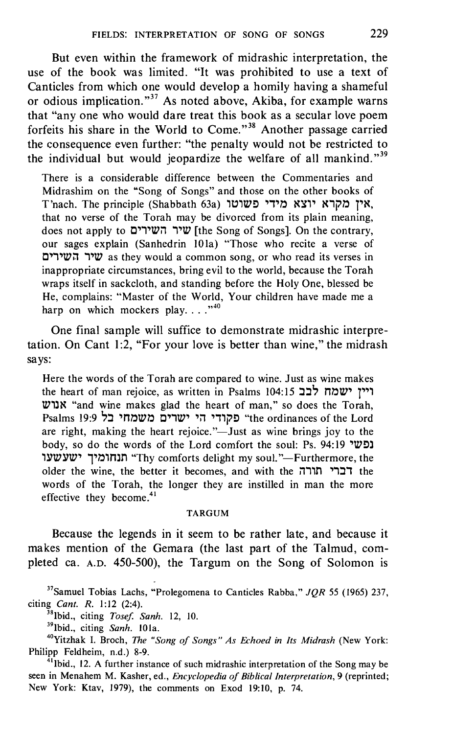But even within the framework of midrashic interpretation, the use of the book was limited. "It was prohibited to use a text of Canticles from which one would develop a homily having a shameful or odious implication."<sup>37</sup> As noted above, Akiba, for example warns that "any one who would dare treat this book as a secular love poem forfeits his share in the World to Come."<sup>38</sup> Another passage carried the consequence even further: "the penalty would not be restricted to the individual but would jeopardize the welfare of all mankind."<sup>39</sup>

There is a considerable difference between the Commentaries and Midrashim on the "Song of Songs" and those on the other books of T'nach. The principle (Shabbath 63a) אין מקרא יוצא מידי פשוטו that no verse of the Torah may be divorced from its plain meaning, does not apply to שיר השירים [the Song of Songs]. On the contrary, our sages explain (Sanhedrin lOla) "Those who recite a verse of שיר השירים as they would a common song, or who read its verses in inappropriate circumstances, bring evil to the world, because the Torah wraps itself in sackcloth, and standing before the Holy One, blessed be He, complains: "Master of the World, Your children have made me a harp on which mockers play...." $^{40}$ 

One final sample will suffice to demonstrate midrashic interpretation. On Cant 1:2, "For your love is better than wine," the midrash says:

Here the words of the Torah are compared to wine. Just as wine makes the heart of man rejoice, as written in Psalms 104:15  $\sim$ לבב 'IV1)N "and wine makes glad the heart of man," so does the Torah, Psalms 19:9 בל 19:9 \*the ordinances of the Lord are right, making the heart rejoice." $\overline{\phantom{a}}$  Just as wine brings joy to the body, so do the words of the Lord comfort the soul: Ps. 94:19 'נפשי ונחומיך ישעשעו# "Thy comforts delight my soul."--Furthermore, the older the wine, the better it becomes, and with the  $i1$ 11r1  $i1$ the words of the Torah, the longer they are instilled in man the more effective they become.<sup>41</sup>

#### TARGUM

Because the legends in it seem to be rather late, and because it makes mention of the Gemara (the last part of the Talmud, completed ca. A.D. 450-500), the Targum on the Song of Solomon is

37Samuel Tobias Lachs, "Prolegomena to Canticles Rabba," *JQR 55* (1965) 237, citing *Cant. R. 1:12 (2:4).*<br><sup>38</sup> lbid., citing *Tosef. Sanh. 12, 10.*<br><sup>39</sup> lbid., citing *Sanh. 101a.*<br><sup>40</sup>Yitzhak I. Broch, *The "Song of Songs" As Echoed in Its Midrash* (New York:

Philipp Feldheim, n.d.) 8-9.<br><sup>41</sup> lbid., 12. A further instance of such midrashic interpretation of the Song may be

seen in Menahem M. Kasher, ed., *Encyclopedia of Biblical Interpretation,* 9 (reprinted; New York: Ktav, 1979), the comments on Exod 19:10, p. 74.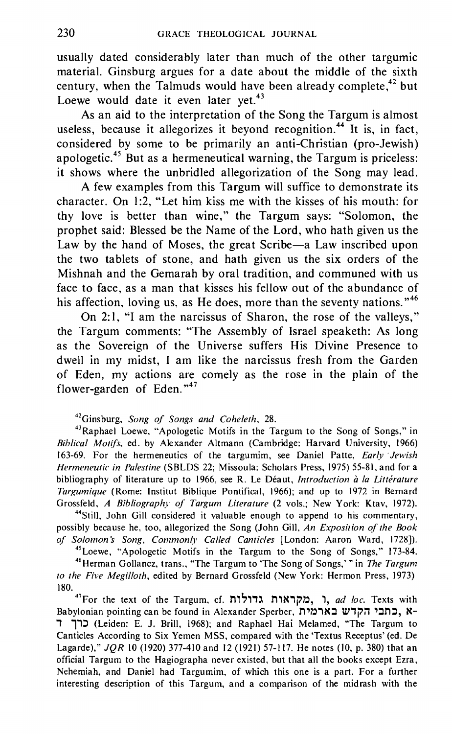usually dated considerably later than much of the other targumic material. Ginsburg argues for a date about the middle of the sixth century, when the Talmuds would have been already complete,<sup>42</sup> but Loewe would date it even later yet. $43$ 

As an aid to the interpretation of the Song the Targum is almost useless, because it allegorizes it beyond recognition.<sup>44</sup> It is, in fact, considered by some to be primarily an anti-Christian (pro-Jewish) apologetic. 45 But as a hermeneutical warning, the Targum is priceless: it shows where the unbridled allegorization of the Song may lead.

A few examples from this Targum will suffice to demonstrate its character. On 1:2, "Let him kiss me with the kisses of his mouth: for thy love is better than wine," the Targum says: "Solomon, the prophet said: Blessed be the Name of the Lord, who hath given us the Law by the hand of Moses, the great Scribe-a Law inscribed upon the two tablets of stone, and hath given us the six orders of the Mishnah and the Gemarah by oral tradition, and communed with us face to face, as a man that kisses his fellow out of the abundance of his affection, loving us, as He does, more than the seventy nations."<sup>46</sup>

On 2: 1, "I am the narcissus of Sharon, the rose of the valleys," the Targum comments: "The Assembly of Israel speaketh: As long as the Sovereign of the Universe suffers His Divine Presence to dwell in my midst, I am like the narcissus fresh from the Garden of Eden, my actions are comely as the rose in the plain of the flower-garden of Eden."<sup>47</sup>

<sup>42</sup>Ginsburg, *Song of Songs and Coheleth*, 28.<br><sup>43</sup>Raphael Loewe, "Apologetic Motifs in the Targum to the Song of Songs," in *Biblical Mot(fs,* ed. by Alexander Altmann (Cambridge: Harvard University, 1966) 163-69. For the hermeneutics of the targumim, see Daniel Patte, *Early ·Jewish Hermeneutic in Palestine* (SBLDS 22; Missoula: Scholars Press, 1975) 55-81, and for a bibliography of literature up to 1966, see R. Le Deaut, *Introduction a Ia Litthature Targumique* (Rome: Institut Biblique Pontifical, 1966); and up to 1972 in Bernard Grossfeld, *A Bibliography of Targum Literature* (2 vols.; New York: Ktav, 1972).<br><sup>44</sup>Still, John Gill considered it valuable enough to append to his commentary,

possibly because he, too, allegorized the Song (John Gill, *An Exposition of the Book*  of Solomon's Song, Commonly Called Canticles [London: Aaron Ward, 1728]).<br><sup>45</sup>Loewe, "Apologetic Motifs in the Targum to the Song of Songs," 173-84.<br><sup>46</sup>Herman Gollancz, trans., "The Targum to 'The Song of Songs,' " in *Th* 

*to the Five Megilloth,* edited by Bernard Grossfeld (New York: Hermon Press, 1973)

180.<br><sup>47</sup> For the text of the Targum, cf. גדולות גדולות, n, *ad loc*. Texts with Babylonian pointing can be found in Alexander Sperber, הבתבי הקדש בארמית, , 11::l (Leiden: E. J. Brill, 1968); and Raphael Hai Melamed, "The Targum to Canticles According to Six Yemen MSS, compared with the 'Textus Receptus' (ed. De Lagarde)," *JQR* 10 (1920) 377-410 and 12 (1921) 57-117. He notes (10, p. 380) that an official Targum to the Hagiographa never existed, but that all the books except Ezra, Nehemiah, and Daniel had Targumim, of which this one is a part. For a further interesting description of this Targum, and a comparison of the midrash with the